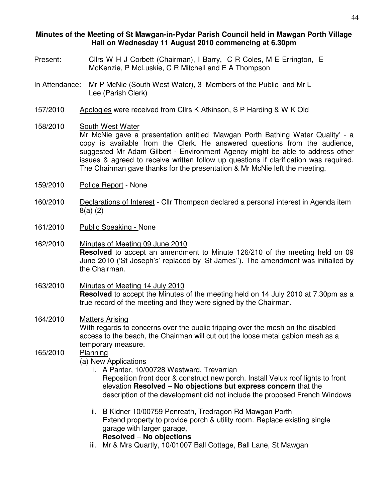#### **Minutes of the Meeting of St Mawgan-in-Pydar Parish Council held in Mawgan Porth Village Hall on Wednesday 11 August 2010 commencing at 6.30pm**

- Present: Cllrs W H J Corbett (Chairman), I Barry, C R Coles, M E Errington, E McKenzie, P McLuskie, C R Mitchell and E A Thompson
- In Attendance: Mr P McNie (South West Water), 3 Members of the Public and Mr L Lee (Parish Clerk)
- 157/2010 Apologies were received from Cllrs K Atkinson, S P Harding & W K Old
- 158/2010 South West Water Mr McNie gave a presentation entitled 'Mawgan Porth Bathing Water Quality' - a copy is available from the Clerk. He answered questions from the audience, suggested Mr Adam Gilbert - Environment Agency might be able to address other issues & agreed to receive written follow up questions if clarification was required. The Chairman gave thanks for the presentation & Mr McNie left the meeting.
- 159/2010 Police Report None
- 160/2010 Declarations of Interest Cllr Thompson declared a personal interest in Agenda item 8(a) (2)
- 161/2010 Public Speaking None
- 162/2010 Minutes of Meeting 09 June 2010 **Resolved** to accept an amendment to Minute 126/210 of the meeting held on 09 June 2010 ('St Joseph's' replaced by 'St James''). The amendment was initialled by the Chairman.
- 163/2010 Minutes of Meeting 14 July 2010 **Resolved** to accept the Minutes of the meeting held on 14 July 2010 at 7.30pm as a true record of the meeting and they were signed by the Chairman.
- 164/2010 Matters Arising With regards to concerns over the public tripping over the mesh on the disabled access to the beach, the Chairman will cut out the loose metal gabion mesh as a temporary measure.
- 165/2010 Planning
	- (a) New Applications
		- i. A Panter, 10/00728 Westward, Trevarrian Reposition front door & construct new porch. Install Velux roof lights to front elevation **Resolved** – **No objections but express concern** that the description of the development did not include the proposed French Windows
		- ii. B Kidner 10/00759 Penreath, Tredragon Rd Mawgan Porth Extend property to provide porch & utility room. Replace existing single garage with larger garage, **Resolved** – **No objections**
		- iii. Mr & Mrs Quartly, 10/01007 Ball Cottage, Ball Lane, St Mawgan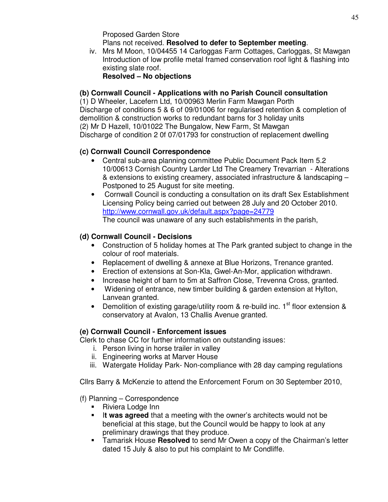Proposed Garden Store Plans not received. **Resolved to defer to September meeting**.

iv. Mrs M Moon, 10/04455 14 Carloggas Farm Cottages, Carloggas, St Mawgan Introduction of low profile metal framed conservation roof light & flashing into existing slate roof.

**Resolved – No objections** 

## **(b) Cornwall Council - Applications with no Parish Council consultation**

(1) D Wheeler, Lacefern Ltd, 10/00963 Merlin Farm Mawgan Porth Discharge of conditions 5 & 6 of 09/01006 for regularised retention & completion of demolition & construction works to redundant barns for 3 holiday units (2) Mr D Hazell, 10/01022 The Bungalow, New Farm, St Mawgan Discharge of condition 2 0f 07/01793 for construction of replacement dwelling

## **(c) Cornwall Council Correspondence**

- Central sub-area planning committee Public Document Pack Item 5.2 10/00613 Cornish Country Larder Ltd The Creamery Trevarrian - Alterations & extensions to existing creamery, associated infrastructure & landscaping – Postponed to 25 August for site meeting.
- Cornwall Council is conducting a consultation on its draft Sex Establishment Licensing Policy being carried out between 28 July and 20 October 2010. http://www.cornwall.gov.uk/default.aspx?page=24779 The council was unaware of any such establishments in the parish,

## **(d) Cornwall Council - Decisions**

- Construction of 5 holiday homes at The Park granted subject to change in the colour of roof materials.
- Replacement of dwelling & annexe at Blue Horizons, Trenance granted.
- Erection of extensions at Son-Kla, Gwel-An-Mor, application withdrawn.
- Increase height of barn to 5m at Saffron Close, Trevenna Cross, granted.
- Widening of entrance, new timber building & garden extension at Hylton, Lanvean granted.
- Demolition of existing garage/utility room & re-build inc.  $1<sup>st</sup>$  floor extension & conservatory at Avalon, 13 Challis Avenue granted.

# **(e) Cornwall Council - Enforcement issues**

Clerk to chase CC for further information on outstanding issues:

- i. Person living in horse trailer in valley
- ii. Engineering works at Marver House
- iii. Watergate Holiday Park- Non-compliance with 28 day camping regulations

Cllrs Barry & McKenzie to attend the Enforcement Forum on 30 September 2010,

## (f) Planning – Correspondence

- Riviera Lodge Inn
- **If was agreed** that a meeting with the owner's architects would not be beneficial at this stage, but the Council would be happy to look at any preliminary drawings that they produce.
- Tamarisk House **Resolved** to send Mr Owen a copy of the Chairman's letter dated 15 July & also to put his complaint to Mr Condliffe.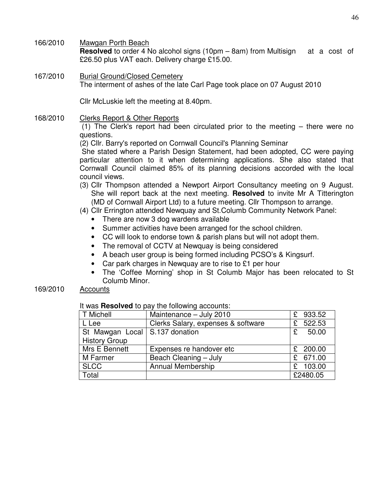166/2010 Mawgan Porth Beach

**Resolved** to order 4 No alcohol signs (10pm – 8am) from Multisign at a cost of £26.50 plus VAT each. Delivery charge £15.00.

167/2010 Burial Ground/Closed Cemetery The interment of ashes of the late Carl Page took place on 07 August 2010

Cllr McLuskie left the meeting at 8.40pm.

168/2010 Clerks Report & Other Reports

 (1) The Clerk's report had been circulated prior to the meeting – there were no questions.

(2) Cllr. Barry's reported on Cornwall Council's Planning Seminar

 She stated where a Parish Design Statement, had been adopted, CC were paying particular attention to it when determining applications. She also stated that Cornwall Council claimed 85% of its planning decisions accorded with the local council views.

(3) Cllr Thompson attended a Newport Airport Consultancy meeting on 9 August. She will report back at the next meeting. **Resolved** to invite Mr A Titterington (MD of Cornwall Airport Ltd) to a future meeting. Cllr Thompson to arrange.

#### (4) Cllr Errington attended Newquay and St.Columb Community Network Panel:

- There are now 3 dog wardens available
- Summer activities have been arranged for the school children.
- CC will look to endorse town & parish plans but will not adopt them.
- The removal of CCTV at Newquay is being considered
- A beach user group is being formed including PCSO's & Kingsurf.
- Car park charges in Newquay are to rise to £1 per hour
- The 'Coffee Morning' shop in St Columb Major has been relocated to St Columb Minor.

#### 169/2010 Accounts

#### It was **Resolved** to pay the following accounts:

| T Michell                        | Maintenance - July 2010            | 933.52<br>£. |
|----------------------------------|------------------------------------|--------------|
| L Lee                            | Clerks Salary, expenses & software | £ 522.53     |
| St Mawgan Local   S.137 donation |                                    | 50.00<br>£   |
| <b>History Group</b>             |                                    |              |
| Mrs E Bennett                    | Expenses re handover etc           | £ $200.00$   |
| M Farmer                         | Beach Cleaning - July              | £ 671.00     |
| <b>SLCC</b>                      | Annual Membership                  | 103.00       |
| Total                            |                                    | £2480.05     |